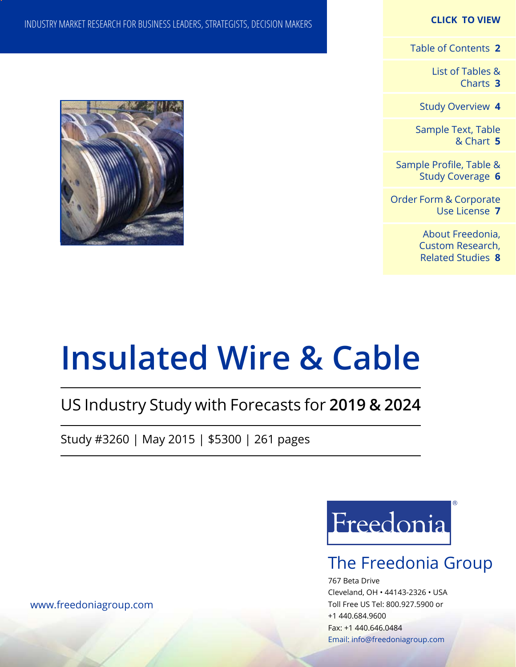### **CLICK TO VIEW**

[Table of Contents](#page-1-0) **2**

[List of Tables &](#page-2-0) [Charts](#page-2-0) **3**

[Study Overview](#page-3-0) **4**

[Sample Text, Table](#page-4-0) [& Chart](#page-4-0) **5**

[Sample Profile, Table &](#page-5-0) [Study Coverage](#page-5-0) **6**

[Order Form & Corporate](#page-6-0) [Use License](#page-6-0) **7**

> [About Freedonia,](#page-7-0) [Custom Research,](#page-7-0)  [Related Studies](#page-7-0) **8**

## INDUSTRY MARKET RESEARCH FOR BUSINESS LEADERS, STRATEGISTS, DECISION MAKERS



# **Insulated Wire & Cable**

## US Industry Study with Forecasts for **2019 & 2024**

Study #3260 | May 2015 | \$5300 | 261 pages



## The Freedonia Group

767 Beta Drive Cleveland, OH • 44143-2326 • USA Toll Free US Tel: 800.927.5900 or +1 440.684.9600 Fax: +1 440.646.0484 Email: [info@freedoniagroup.com](mailto:info@freedoniagroup.com)

[www.freedoniagroup.com](http://www.freedoniagroup.com/Home.aspx?ReferrerId=FM-Bro)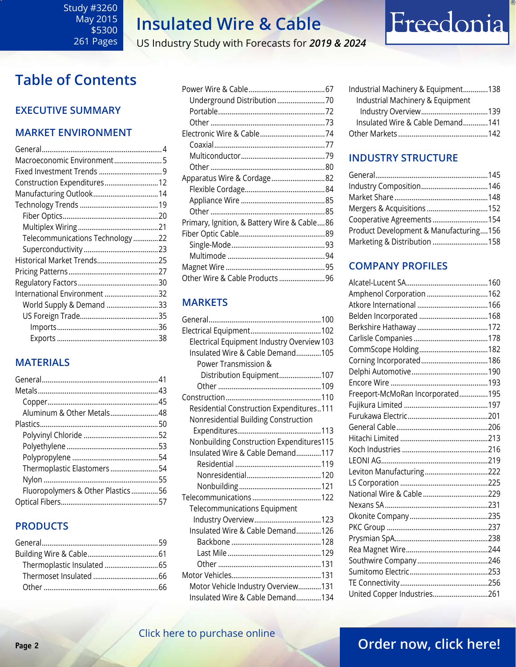US Industry Study with Forecasts for *2019 & 2024*

## <span id="page-1-0"></span>**Table of Contents**

### **Executive Summary**

### **Market EnvironmenT**

| Macroeconomic Environment5      |  |
|---------------------------------|--|
|                                 |  |
| Construction Expenditures 12    |  |
|                                 |  |
|                                 |  |
|                                 |  |
|                                 |  |
| Telecommunications Technology22 |  |
|                                 |  |
| Historical Market Trends 25     |  |
|                                 |  |
|                                 |  |
| International Environment 32    |  |
| World Supply & Demand 33        |  |
|                                 |  |
|                                 |  |
|                                 |  |

### **MATERIALS**

| Aluminum & Other Metals48         |  |
|-----------------------------------|--|
|                                   |  |
|                                   |  |
|                                   |  |
|                                   |  |
| Thermoplastic Elastomers 54       |  |
|                                   |  |
| Fluoropolymers & Other Plastics56 |  |
|                                   |  |

### **PRODUCTS**

| Apparatus Wire & Cordage82                  |  |
|---------------------------------------------|--|
|                                             |  |
|                                             |  |
|                                             |  |
| Primary, Ignition, & Battery Wire & Cable86 |  |
|                                             |  |
|                                             |  |
|                                             |  |
|                                             |  |
| Other Wire & Cable Products 96              |  |

### **MARKETS**

| Electrical Equipment Industry Overview 103 |  |
|--------------------------------------------|--|
| Insulated Wire & Cable Demand105           |  |
| Power Transmission &                       |  |
| Distribution Equipment107                  |  |
|                                            |  |
|                                            |  |
| Residential Construction Expenditures111   |  |
| Nonresidential Building Construction       |  |
|                                            |  |
| Nonbuilding Construction Expenditures115   |  |
| Insulated Wire & Cable Demand117           |  |
|                                            |  |
|                                            |  |
|                                            |  |
|                                            |  |
| <b>Telecommunications Equipment</b>        |  |
|                                            |  |
| Insulated Wire & Cable Demand126           |  |
|                                            |  |
|                                            |  |
|                                            |  |
|                                            |  |
| Motor Vehicle Industry Overview131         |  |
| Insulated Wire & Cable Demand134           |  |

| Industrial Machinery & Equipment138 |  |
|-------------------------------------|--|
| Industrial Machinery & Equipment    |  |
|                                     |  |
| Insulated Wire & Cable Demand141    |  |
|                                     |  |

Freedonia

### **INDUSTRY STRUCTURE**

| Cooperative Agreements 154             |  |
|----------------------------------------|--|
| Product Development & Manufacturing156 |  |
| Marketing & Distribution 158           |  |
|                                        |  |

### **Company Profiles**

| Amphenol Corporation 162         |  |
|----------------------------------|--|
|                                  |  |
|                                  |  |
|                                  |  |
|                                  |  |
|                                  |  |
|                                  |  |
|                                  |  |
|                                  |  |
| Freeport-McMoRan Incorporated195 |  |
|                                  |  |
|                                  |  |
|                                  |  |
|                                  |  |
|                                  |  |
|                                  |  |
| Leviton Manufacturing222         |  |
|                                  |  |
| National Wire & Cable 229        |  |
|                                  |  |
|                                  |  |
|                                  |  |
|                                  |  |
|                                  |  |
|                                  |  |
|                                  |  |
|                                  |  |
| United Copper Industries261      |  |

### [Click here to purchase online](http://www.freedoniagroup.com/DocumentDetails.aspx?Referrerid=FM-Bro&StudyID=3260)

## **Page 2 CHER HERE CO PARCHASE CHILINE**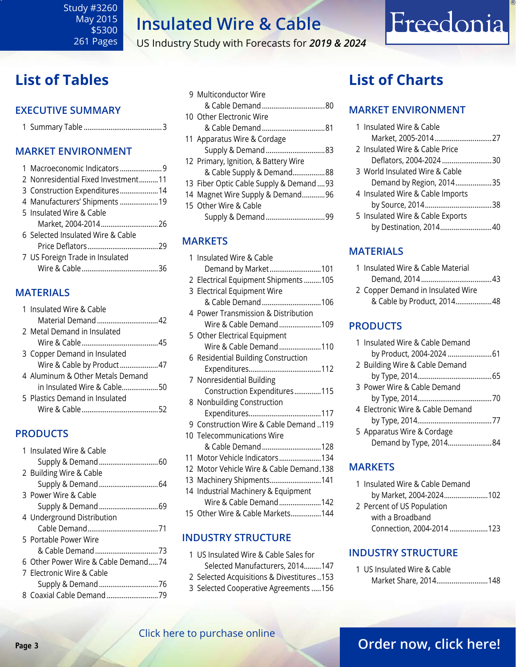US Industry Study with Forecasts for *2019 & 2024*

## <span id="page-2-0"></span>**List of Tables**

### **Executive Summary**

### **Market EnvironmenT**

| 1 Macroeconomic Indicators 9        |  |
|-------------------------------------|--|
| 2 Nonresidential Fixed Investment11 |  |
| 3 Construction Expenditures 14      |  |
| 4 Manufacturers' Shipments  19      |  |
| 5 Insulated Wire & Cable            |  |
| Market, 2004-201426                 |  |
| 6 Selected Insulated Wire & Cable   |  |
|                                     |  |
| 7 US Foreign Trade in Insulated     |  |
|                                     |  |
|                                     |  |

### **MATERIALS**

|  | 1 Insulated Wire & Cable         |  |
|--|----------------------------------|--|
|  |                                  |  |
|  | 2 Metal Demand in Insulated      |  |
|  |                                  |  |
|  | 3 Copper Demand in Insulated     |  |
|  | Wire & Cable by Product47        |  |
|  | 4 Aluminum & Other Metals Demand |  |
|  | in Insulated Wire & Cable50      |  |
|  | 5 Plastics Demand in Insulated   |  |
|  |                                  |  |
|  |                                  |  |

### **PRODUCTS**

|  | 1 Insulated Wire & Cable            |
|--|-------------------------------------|
|  |                                     |
|  | 2 Building Wire & Cable             |
|  |                                     |
|  | 3 Power Wire & Cable                |
|  |                                     |
|  | 4 Underground Distribution          |
|  |                                     |
|  | 5 Portable Power Wire               |
|  |                                     |
|  | 6 Other Power Wire & Cable Demand74 |
|  | 7 Electronic Wire & Cable           |
|  |                                     |
|  |                                     |
|  |                                     |

| 9 Multiconductor Wire                    |  |
|------------------------------------------|--|
|                                          |  |
| 10 Other Electronic Wire                 |  |
|                                          |  |
| 11 Apparatus Wire & Cordage              |  |
| Supply & Demand83                        |  |
| 12 Primary, Ignition, & Battery Wire     |  |
| & Cable Supply & Demand88                |  |
| 13 Fiber Optic Cable Supply & Demand  93 |  |
| 14 Magnet Wire Supply & Demand96         |  |
| 15 Other Wire & Cable                    |  |
|                                          |  |
|                                          |  |

### **MARKETS**

| 1 Insulated Wire & Cable                 |
|------------------------------------------|
| Demand by Market101                      |
| 2 Electrical Equipment Shipments 105     |
| 3 Electrical Equipment Wire              |
| & Cable Demand106                        |
| 4 Power Transmission & Distribution      |
| Wire & Cable Demand109                   |
| 5 Other Electrical Equipment             |
| Wire & Cable Demand110                   |
| 6 Residential Building Construction      |
|                                          |
| 7 Nonresidential Building                |
| Construction Expenditures115             |
| 8 Nonbuilding Construction               |
|                                          |
| 9 Construction Wire & Cable Demand 119   |
| 10 Telecommunications Wire               |
| & Cable Demand128                        |
| 11 Motor Vehicle Indicators134           |
| 12 Motor Vehicle Wire & Cable Demand.138 |
| 13 Machinery Shipments141                |
| 14 Industrial Machinery & Equipment      |
| Wire & Cable Demand142                   |
| 15 Other Wire & Cable Markets144         |
|                                          |

### **INDUSTRY STRUCTURE**

- 1 US Insulated Wire & Cable Sales for Selected Manufacturers, 2014.........147 2 Selected Acquisitions & Divestitures ..153
- 3 Selected Cooperative Agreements .....156

## **List of Charts**

### **MARKET ENVIRONMENT**

| 1 Insulated Wire & Cable         |  |
|----------------------------------|--|
|                                  |  |
| 2 Insulated Wire & Cable Price   |  |
| Deflators, 2004-2024 30          |  |
| 3 World Insulated Wire & Cable   |  |
| Demand by Region, 201435         |  |
| 4 Insulated Wire & Cable Imports |  |
|                                  |  |
| 5 Insulated Wire & Cable Exports |  |
| by Destination, 201440           |  |

Freedonia

### **MATERIALS**

| 1 Insulated Wire & Cable Material |  |
|-----------------------------------|--|
|                                   |  |
| 2 Copper Demand in Insulated Wire |  |
| & Cable by Product, 201448        |  |

### **PRODUCTS**

| 1 Insulated Wire & Cable Demand  |  |
|----------------------------------|--|
| by Product, 2004-2024  61        |  |
| 2 Building Wire & Cable Demand   |  |
|                                  |  |
| 3 Power Wire & Cable Demand      |  |
|                                  |  |
| 4 Electronic Wire & Cable Demand |  |
|                                  |  |
| 5 Apparatus Wire & Cordage       |  |
| Demand by Type, 201484           |  |
|                                  |  |

### **MARKETS**

| 1 Insulated Wire & Cable Demand |  |
|---------------------------------|--|
| by Market, 2004-2024102         |  |
| 2 Percent of US Population      |  |
| with a Broadband                |  |
| Connection, 2004-2014123        |  |

### **INDUSTRY STRUCTURE**

| 1 US Insulated Wire & Cable |  |
|-----------------------------|--|
| Market Share, 2014148       |  |

### [Click here to purchase online](http://www.freedoniagroup.com/DocumentDetails.aspx?Referrerid=FM-Bro&StudyID=3260)

### **Page 3 CHER HERE IS PARTICLE OF PARTICLE 2 [Order now, click here!](#page-6-0)**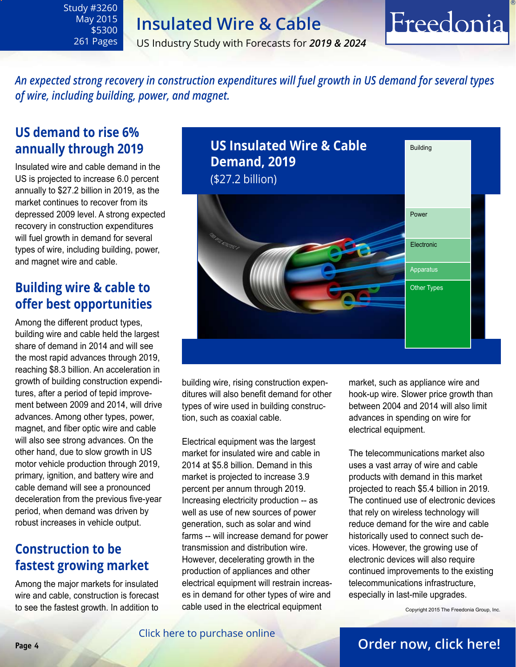US Industry Study with Forecasts for *2019 & 2024*

### *An expected strong recovery in construction expenditures will fuel growth in US demand for several types of wire, including building, power, and magnet.*

## **US demand to rise 6% annually through 2019**

<span id="page-3-0"></span>Study #3260 May 2015 \$5300 261 Pages

Insulated wire and cable demand in the US is projected to increase 6.0 percent annually to \$27.2 billion in 2019, as the market continues to recover from its depressed 2009 level. A strong expected recovery in construction expenditures will fuel growth in demand for several types of wire, including building, power, and magnet wire and cable.

### **Building wire & cable to offer best opportunities**

Among the different product types, building wire and cable held the largest share of demand in 2014 and will see the most rapid advances through 2019, reaching \$8.3 billion. An acceleration in growth of building construction expenditures, after a period of tepid improvement between 2009 and 2014, will drive advances. Among other types, power, magnet, and fiber optic wire and cable will also see strong advances. On the other hand, due to slow growth in US motor vehicle production through 2019, primary, ignition, and battery wire and cable demand will see a pronounced deceleration from the previous five-year period, when demand was driven by robust increases in vehicle output.

## **Construction to be fastest growing market**

Among the major markets for insulated wire and cable, construction is forecast to see the fastest growth. In addition to



building wire, rising construction expenditures will also benefit demand for other types of wire used in building construction, such as coaxial cable.

Electrical equipment was the largest market for insulated wire and cable in 2014 at \$5.8 billion. Demand in this market is projected to increase 3.9 percent per annum through 2019. Increasing electricity production -- as well as use of new sources of power generation, such as solar and wind farms -- will increase demand for power transmission and distribution wire. However, decelerating growth in the production of appliances and other electrical equipment will restrain increases in demand for other types of wire and cable used in the electrical equipment

market, such as appliance wire and hook-up wire. Slower price growth than between 2004 and 2014 will also limit advances in spending on wire for electrical equipment.

Freedonia

The telecommunications market also uses a vast array of wire and cable products with demand in this market projected to reach \$5.4 billion in 2019. The continued use of electronic devices that rely on wireless technology will reduce demand for the wire and cable historically used to connect such devices. However, the growing use of electronic devices will also require continued improvements to the existing telecommunications infrastructure, especially in last-mile upgrades.

Copyright 2015 The Freedonia Group, Inc.

### **Page 4 [Order now, click here!](#page-6-0)**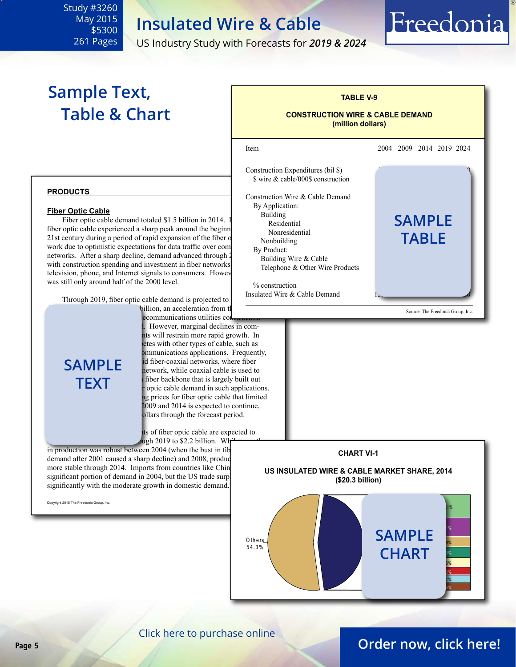US Industry Study with Forecasts for *2019 & 2024*

## **Sample Text, Table & Chart**

<span id="page-4-0"></span>Study #3260 May 2015 \$5300 261 Pages

## **TABLE V-9 CONSTRUCTION WIRE & CABLE DEMAND (million dollars)** ׇ֦֘ Item 2004 2009 2014 2019 2024 Construction Expenditures (bil \$) \$ wire & cable/000\$ construction Construction Wire & Cable Demand By Application: Building  $\begin{array}{ccc} \text{Building} & \text{if} & \text{if} & \text{if} & \text{if} & \text{if} & \text{if} & \text{if} & \text{if} & \text{if} & \text{if} & \text{if} & \text{if} & \text{if} & \text{if} & \text{if} & \text{if} & \text{if} & \text{if} & \text{if} & \text{if} & \text{if} & \text{if} & \text{if} & \text{if} & \text{if} & \text{if} & \text{if} & \text{if} & \text{if} & \text{if} & \text{if} & \text{if} & \text{if} &$ niq<sub>ma</sub><br>Residential **SAMPLE** Nonresidential Nonbuilding By Product: Building Wire & Cable Telephone & Other Wire Products  $%$  construction Insulated Wire & Cable Demand Source: The Freedonia Group, Inc. **TABI F**

Freedonia



#### **Fiber Optic Cable**

Figure Cable<br>Fiber optic cable demand totaled \$1.5 billion in 2014. I Building fiber optic cable experienced a sharp peak around the beginn 21st century during a period of rapid expansion of the fiber optical work due to optimistic expectations for data traffic over comnetworks. After a sharp decline, demand advanced through 2 with construction spending and investment in fiber networks television, phone, and Internet signals to consumers. However, was still only around half of the 2000 level.

Through 2019, fiber optic cable demand is projected to billion, an acceleration from the



lecommunications utilities constructions utilities However, marginal declines in comnts will restrain more rapid growth. In letes with other types of cable, such as ommunications applications. Frequently, id fiber-coaxial networks, where fiber network, while coaxial cable is used to childual chief individual customers; a fiber backbone that is largely built out r optic cable demand in such applications. ng prices for fiber optic cable that limited  $2009$  and  $2014$  is expected to continue, ollars through the forecast period.

Its of fiber optic cable are expected to  $\frac{\mu_{\text{ph}}}{\sigma_{\text{ph}}}$  2019 to \$2.2 billion. While

in production was robust between 2004 (when the bust in fib demand after 2001 caused a sharp decline) and 2008, production was defined as  $\frac{1}{2}$ more stable through 2014. Imports from countries like Chin significant portion of demand in 2004, but the US trade surpl significantly with the moderate growth in domestic demand.

Copyright 2015 The Freedonia Group, Inc.



**CHART VI-1**

### [Click here to purchase online](http://www.freedoniagroup.com/DocumentDetails.aspx?Referrerid=FM-Bro&StudyID=3260)

### **Page 5 [Order now, click here!](#page-6-0)**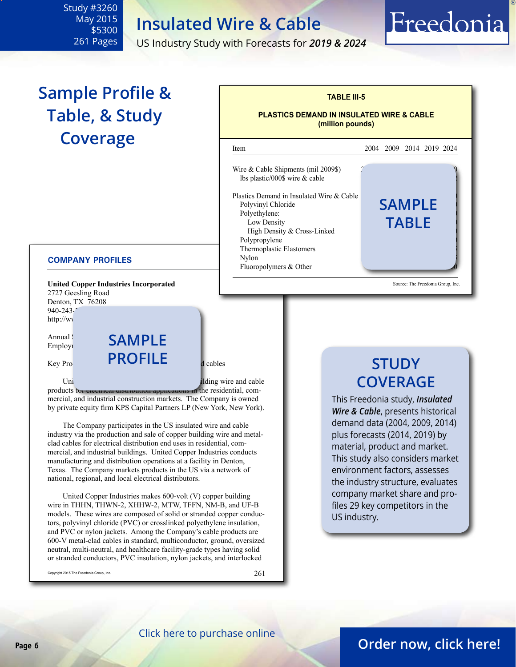l

Wire & Cable Shipments (mil 2009\$) lbs plastic/000\$ wire  $&$  cable

Polyethylene:

Polypropylene

Plastics Demand in Insulated Wire & Cable

High Density & Cross-Linked

Thermoplastic Elastomers

Fluoropolymers  $& Other$ 

US Industry Study with Forecasts for *2019 & 2024*

**TABLE III-5**

**PLASTICS DEMAND IN INSULATED WIRE & CABLE (million pounds)**

Item 2004 2009 2014 2019 2024

Polyvinyl Chloride **5AMPLE** 

 $Nylon$ 

Low Density<br>High Density & Cross Linked<br>High Density & Cross Linked

## **Sample Profile & Table, & Study Coverage**

<span id="page-5-0"></span>Study #3260 May 2015 \$5300 261 Pages

#### **COMPANY PROFILES**

**United Copper Industries Incorporated** 2727 Geesling Road Denton, TX 76208 940-243-7 http://ww

Annual SAMPLE Employi

Key Pro**nducts: PROFILE** dividends

United  $\mathbf{U}$  United Copper Building wire and cable products to electrical distribution applications in the residential, commercial, and industrial construction markets. The Company is owned by private equity firm KPS Capital Partners LP (New York, New York).

The Company participates in the US insulated wire and cable industry via the production and sale of copper building wire and metalclad cables for electrical distribution end uses in residential, commercial, and industrial buildings. United Copper Industries conducts manufacturing and distribution operations at a facility in Denton, Texas. The Company markets products in the US via a network of national, regional, and local electrical distributors.

United Copper Industries makes 600-volt (V) copper building wire in THHN, THWN-2, XHHW-2, MTW, TFFN, NM-B, and UF-B models. These wires are composed of solid or stranded copper conductors, polyvinyl chloride (PVC) or crosslinked polyethylene insulation, and PVC or nylon jackets. Among the Company's cable products are 600-V metal-clad cables in standard, multiconductor, ground, oversized neutral, multi-neutral, and healthcare facility-grade types having solid or stranded conductors, PVC insulation, nylon jackets, and interlocked

Copyright 2015 The Freedonia Group, Inc.

261

## **STUDY COVERAGE**

Source: The Freedonia Group, Inc.

Freedonia

This Freedonia study, *Insulated Wire & Cable*, presents historical demand data (2004, 2009, 2014) plus forecasts (2014, 2019) by material, product and market. This study also considers market environment factors, assesses the industry structure, evaluates company market share and profiles 29 key competitors in the US industry.

[Click here to purchase online](http://www.freedoniagroup.com/DocumentDetails.aspx?Referrerid=FM-Bro&StudyID=3260)

### **Page 6 [Order now, click here!](#page-6-0)**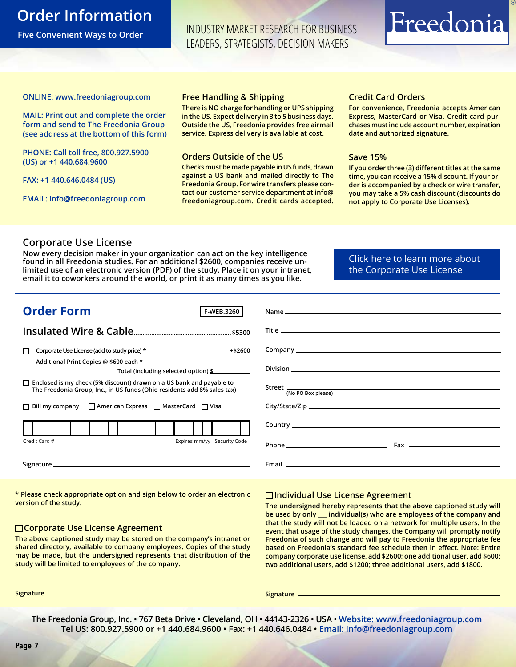### <span id="page-6-0"></span>**Order Information**

**Five Convenient Ways to Order**

INDUSTRY MARKET RESEARCH FOR BUSINESS LEADERS, STRATEGISTS, DECISION MAKERS

# Freedonia

**ONLINE: [www.freedoniagroup.com](http://www.freedoniagroup.com/DocumentDetails.aspx?Referrerid=FM-Bro&StudyID=3260)**

**MAIL: Print out and complete the order form and send to The Freedonia Group (see address at the bottom of this form)**

**PHONE: Call toll free, 800.927.5900 (US) or +1 440.684.9600**

**FAX: +1 440.646.0484 (US)**

**EMAIL: [info@freedoniagroup.com](mailto:info@freedoniagroup.com)**

#### **Free Handling & Shipping**

**There is NO charge for handling or UPS shipping in the US. Expect delivery in 3 to 5 business days. Outside the US, Freedonia provides free airmail service. Express delivery is available at cost.**

#### **Orders Outside of the US**

**Checks must be made payable in US funds, drawn against a US bank and mailed directly to The Freedonia Group. For wire transfers please contact our customer service department at info@ freedoniagroup.com. Credit cards accepted.**

### **Credit Card Orders**

**For convenience, Freedonia accepts American Express, MasterCard or Visa. Credit card purchases must include account number, expiration date and authorized signature.**

#### **Save 15%**

**If you order three (3) different titles at the same time, you can receive a 15% discount. If your order is accompanied by a check or wire transfer, you may take a 5% cash discount (discounts do not apply to Corporate Use Licenses).**

### **Corporate Use License**

**Now every decision maker in your organization can act on the key intelligence found in all Freedonia studies. For an additional \$2600, companies receive unlimited use of an electronic version (PDF) of the study. Place it on your intranet, email it to coworkers around the world, or print it as many times as you like.** 

[Click here to learn more about](http://www.freedoniagroup.com/pdf/FreedoniaCULBro.pdf)  [the Corporate Use License](http://www.freedoniagroup.com/pdf/FreedoniaCULBro.pdf)

| <b>Order Form</b><br>F-WEB.3260                                                                                                                         |                                                                                                                                                                                                                                      |
|---------------------------------------------------------------------------------------------------------------------------------------------------------|--------------------------------------------------------------------------------------------------------------------------------------------------------------------------------------------------------------------------------------|
|                                                                                                                                                         |                                                                                                                                                                                                                                      |
|                                                                                                                                                         |                                                                                                                                                                                                                                      |
| Corporate Use License (add to study price) *<br>+\$2600                                                                                                 |                                                                                                                                                                                                                                      |
| - Additional Print Copies @ \$600 each *<br>Total (including selected option) \$                                                                        |                                                                                                                                                                                                                                      |
| $\Box$ Enclosed is my check (5% discount) drawn on a US bank and payable to<br>The Freedonia Group, Inc., in US funds (Ohio residents add 8% sales tax) | (No PO Box please)                                                                                                                                                                                                                   |
| $\Box$ Bill my company $\Box$ American Express $\Box$ MasterCard $\Box$ Visa                                                                            |                                                                                                                                                                                                                                      |
|                                                                                                                                                         |                                                                                                                                                                                                                                      |
| Expires mm/yy Security Code<br>Credit Card #                                                                                                            |                                                                                                                                                                                                                                      |
|                                                                                                                                                         | Email <b>Experience of the Contract of Contract Contract of Contract Contract Contract On Contract Contract On Contract On Contract On Contract On Contract On Contract On Contract On Contract On Contract On Contract On Contr</b> |

**\* Please check appropriate option and sign below to order an electronic version of the study.**

#### **Corporate Use License Agreement**

**The above captioned study may be stored on the company's intranet or shared directory, available to company employees. Copies of the study may be made, but the undersigned represents that distribution of the study will be limited to employees of the company.**

### **Individual Use License Agreement**

**The undersigned hereby represents that the above captioned study will be used by only \_\_\_ individual(s) who are employees of the company and that the study will not be loaded on a network for multiple users. In the event that usage of the study changes, the Company will promptly notify Freedonia of such change and will pay to Freedonia the appropriate fee based on Freedonia's standard fee schedule then in effect. Note: Entire company corporate use license, add \$2600; one additional user, add \$600; two additional users, add \$1200; three additional users, add \$1800.**

**Signature Signature**

**The Freedonia Group, Inc. • 767 Beta Drive • Cleveland, OH • 44143-2326 • USA • [Website: www.freedoniagroup.com](http://www.freedoniagroup.com/Home.aspx?ReferrerId=FM-Bro) Tel US: 800.927.5900 or +1 440.684.9600 • Fax: +1 440.646.0484 • [Email: info@freedoniagroup.com](mailto:info@freedoniagroup.com)**